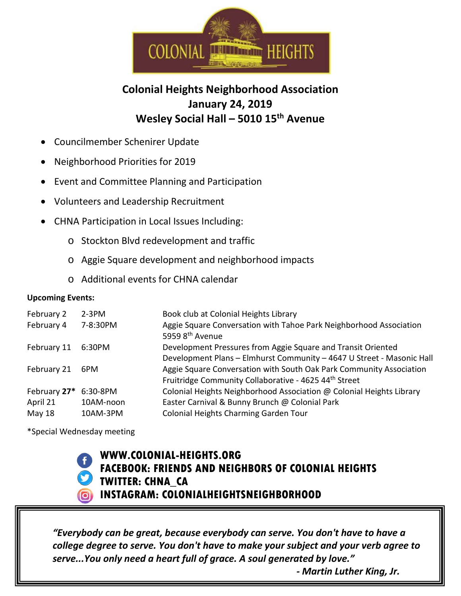

## **Colonial Heights Neighborhood Association January 24, 2019 Wesley Social Hall – 5010 15th Avenue**

- Councilmember Schenirer Update
- Neighborhood Priorities for 2019
- Event and Committee Planning and Participation
- Volunteers and Leadership Recruitment
- CHNA Participation in Local Issues Including:
	- o Stockton Blvd redevelopment and traffic
	- o Aggie Square development and neighborhood impacts
	- o Additional events for CHNA calendar

## **Upcoming Events:**

| February 2   | $2-3PM$   | Book club at Colonial Heights Library                                                             |
|--------------|-----------|---------------------------------------------------------------------------------------------------|
| February 4   | 7-8:30PM  | Aggie Square Conversation with Tahoe Park Neighborhood Association<br>5959 8 <sup>th</sup> Avenue |
| February 11  | 6:30PM    | Development Pressures from Aggie Square and Transit Oriented                                      |
|              |           | Development Plans - Elmhurst Community - 4647 U Street - Masonic Hall                             |
| February 21  | 6PM       | Aggie Square Conversation with South Oak Park Community Association                               |
|              |           | Fruitridge Community Collaborative - 4625 44th Street                                             |
| February 27* | 6:30-8PM  | Colonial Heights Neighborhood Association @ Colonial Heights Library                              |
| April 21     | 10AM-noon | Easter Carnival & Bunny Brunch @ Colonial Park                                                    |
| May 18       | 10AM-3PM  | Colonial Heights Charming Garden Tour                                                             |

\*Special Wednesday meeting



## **WWW.COLONIAL-HEIGHTS.ORG FACEBOOK: FRIENDS AND NEIGHBORS OF COLONIAL HEIGHTS TWITTER: CHNA\_CA INSTAGRAM: COLONIALHEIGHTSNEIGHBORHOOD**

*"Everybody can be great, because everybody can serve. You don't have to have a college degree to serve. You don't have to make your subject and your verb agree to serve...You only need a heart full of grace. A soul generated by love."*

*- Martin Luther King, Jr.*